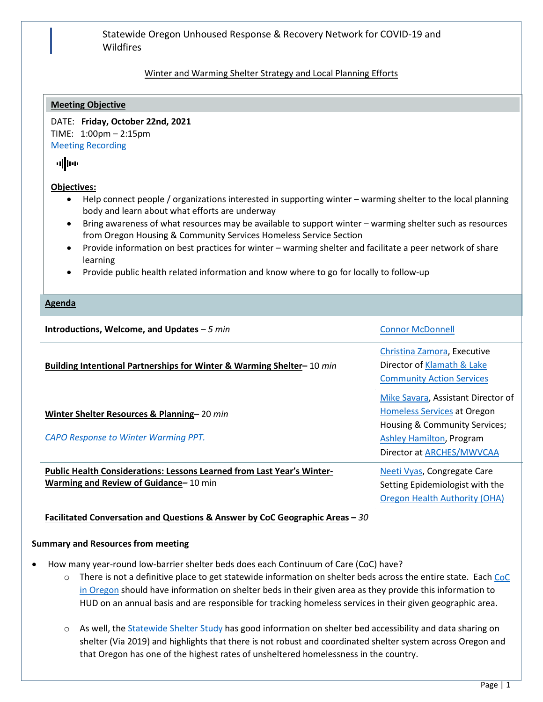## Statewide Oregon Unhoused Response & Recovery Network for COVID-19 and Wildfires

# Winter and Warming Shelter Strategy and Local Planning Efforts

#### **Meeting Objective**

DATE: **Friday, October 22nd, 2021** TIME: 1:00pm – 2:15pm [Meeting Recording](https://www.youtube.com/watch?v=SPmSH1jCUvo&t=2881s)

# ullur

#### **Objectives:**

- Help connect people / organizations interested in supporting winter warming shelter to the local planning body and learn about what efforts are underway
- Bring awareness of what resources may be available to support winter warming shelter such as resources from Oregon Housing & Community Services Homeless Service Section
- Provide information on best practices for winter warming shelter and facilitate a peer network of share learning
- Provide public health related information and know where to go for locally to follow-up

#### **Agenda**

| Introductions, Welcome, and Updates $-5$ min                                                                    | <b>Connor McDonnell</b>                                                                                                                                     |
|-----------------------------------------------------------------------------------------------------------------|-------------------------------------------------------------------------------------------------------------------------------------------------------------|
| Building Intentional Partnerships for Winter & Warming Shelter-10 min                                           | Christina Zamora, Executive<br>Director of Klamath & Lake<br><b>Community Action Services</b>                                                               |
| Winter Shelter Resources & Planning-20 min<br>CAPO Response to Winter Warming PPT.                              | Mike Savara, Assistant Director of<br>Homeless Services at Oregon<br>Housing & Community Services;<br>Ashley Hamilton, Program<br>Director at ARCHES/MWVCAA |
| Public Health Considerations: Lessons Learned from Last Year's Winter-<br>Warming and Review of Guidance–10 min | Neeti Vyas, Congregate Care<br>Setting Epidemiologist with the<br><b>Oregon Health Authority (OHA)</b>                                                      |

## **Facilitated Conversation and Questions & Answer by CoC Geographic Areas –** *30*

#### **Summary and Resources from meeting**

- How many year-round low-barrier shelter beds does each Continuum of Care (CoC) have?
	- $\circ$  There is not a definitive place to get statewide information on shelter beds across the entire state. Each CoC [in Oregon](https://www.oregon.gov/ohcs/for-providers/Pages/continuum-of-care.aspx) should have information on shelter beds in their given area as they provide this information to HUD on an annual basis and are responsible for tracking homeless services in their given geographic area.
	- o As well, the [Statewide Shelter Study](https://www.oregon.gov/ohcs/about-us/Documents/poverty/Oregon-Statewide-Shelter-Study.pdf) has good information on shelter bed accessibility and data sharing on shelter (Via 2019) and highlights that there is not robust and coordinated shelter system across Oregon and that Oregon has one of the highest rates of unsheltered homelessness in the country.